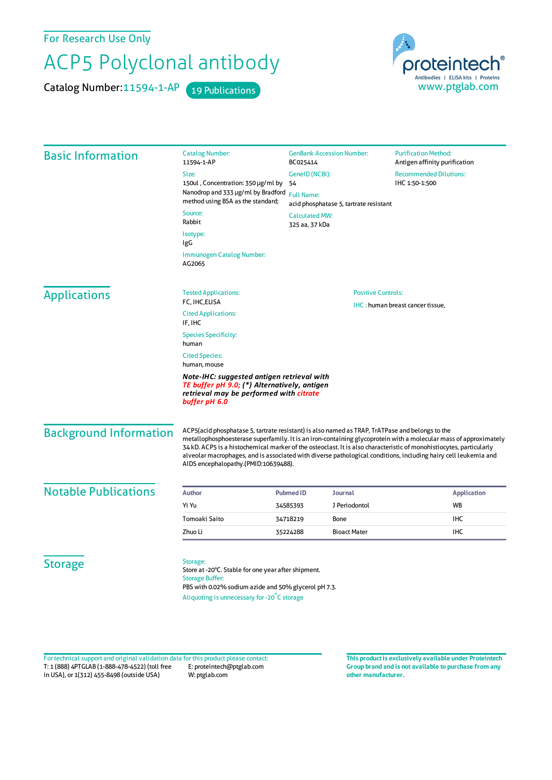For Research Use Only

## ACP5 Polyclonal antibody

Catalog Number: 11594-1-AP 19 Publications

proteintech® Antibodies | ELISA kits | Proteins<br>WWW.ptglab.com

| <b>Basic Information</b>      | <b>Catalog Number:</b><br>11594-1-AP                                                                                                                                                                                                                                                                                                                                                                                                                                                                  | <b>GenBank Accession Number:</b><br>BC025414                | <b>Purification Method:</b><br>Antigen affinity purification |  |
|-------------------------------|-------------------------------------------------------------------------------------------------------------------------------------------------------------------------------------------------------------------------------------------------------------------------------------------------------------------------------------------------------------------------------------------------------------------------------------------------------------------------------------------------------|-------------------------------------------------------------|--------------------------------------------------------------|--|
|                               | Size:                                                                                                                                                                                                                                                                                                                                                                                                                                                                                                 | GeneID (NCBI):                                              | <b>Recommended Dilutions:</b>                                |  |
|                               | 150ul, Concentration: 350 µg/ml by<br>Nanodrop and 333 µg/ml by Bradford<br>method using BSA as the standard;                                                                                                                                                                                                                                                                                                                                                                                         | 54                                                          | IHC 1:50-1:500                                               |  |
|                               |                                                                                                                                                                                                                                                                                                                                                                                                                                                                                                       | <b>Full Name:</b><br>acid phosphatase 5, tartrate resistant |                                                              |  |
|                               | Source:<br>Rabbit                                                                                                                                                                                                                                                                                                                                                                                                                                                                                     | <b>Calculated MW:</b><br>325 aa, 37 kDa                     |                                                              |  |
|                               | Isotype:<br>IgG                                                                                                                                                                                                                                                                                                                                                                                                                                                                                       |                                                             |                                                              |  |
|                               | Immunogen Catalog Number:<br>AG2065                                                                                                                                                                                                                                                                                                                                                                                                                                                                   |                                                             |                                                              |  |
| <b>Applications</b>           | <b>Tested Applications:</b>                                                                                                                                                                                                                                                                                                                                                                                                                                                                           | <b>Positive Controls:</b>                                   |                                                              |  |
|                               | FC, IHC, ELISA<br><b>Cited Applications:</b><br>IF, IHC                                                                                                                                                                                                                                                                                                                                                                                                                                               | IHC: human breast cancer tissue.                            |                                                              |  |
|                               | <b>Species Specificity:</b><br>human                                                                                                                                                                                                                                                                                                                                                                                                                                                                  |                                                             |                                                              |  |
|                               | <b>Cited Species:</b><br>human, mouse                                                                                                                                                                                                                                                                                                                                                                                                                                                                 |                                                             |                                                              |  |
|                               | Note-IHC: suggested antigen retrieval with<br>TE buffer pH 9.0; (*) Alternatively, antigen<br>retrieval may be performed with citrate<br>buffer pH 6.0                                                                                                                                                                                                                                                                                                                                                |                                                             |                                                              |  |
| <b>Background Information</b> | ACP5(acid phosphatase 5, tartrate resistant) is also named as TRAP, TrATPase and belongs to the<br>metallophosphoesterase superfamily. It is an iron-containing glycoprotein with a molecular mass of approximately<br>34 kD. ACP5 is a histochemical marker of the osteoclast. It is also characteristic of monohistiocytes, particularly<br>alveolar macrophages, and is associated with diverse pathological conditions, including hairy cell leukemia and<br>AIDS encephalopathy.(PMID:10639488). |                                                             |                                                              |  |
| <b>Notable Publications</b>   | Author                                                                                                                                                                                                                                                                                                                                                                                                                                                                                                | Journal<br><b>Pubmed ID</b>                                 | <b>Application</b>                                           |  |
|                               | Yi Yu                                                                                                                                                                                                                                                                                                                                                                                                                                                                                                 | J Periodontol<br>34585393                                   | <b>WB</b>                                                    |  |
|                               | Tomoaki Saito                                                                                                                                                                                                                                                                                                                                                                                                                                                                                         | 34718219<br>Bone                                            | <b>IHC</b>                                                   |  |
|                               | Zhuo Li                                                                                                                                                                                                                                                                                                                                                                                                                                                                                               | <b>Bioact Mater</b><br>35224288                             | <b>IHC</b>                                                   |  |
| <b>Storage</b>                | Storage:<br>Store at -20°C. Stable for one year after shipment.<br><b>Storage Buffer:</b><br>PBS with 0.02% sodium azide and 50% glycerol pH 7.3.<br>Aliquoting is unnecessary for -20°C storage                                                                                                                                                                                                                                                                                                      |                                                             |                                                              |  |

T: 1 (888) 4PTGLAB (1-888-478-4522) (toll free in USA), or 1(312) 455-8498 (outside USA) E: proteintech@ptglab.com W: ptglab.com Fortechnical support and original validation data forthis product please contact: **This productis exclusively available under Proteintech**

**Group brand and is not available to purchase from any other manufacturer.**